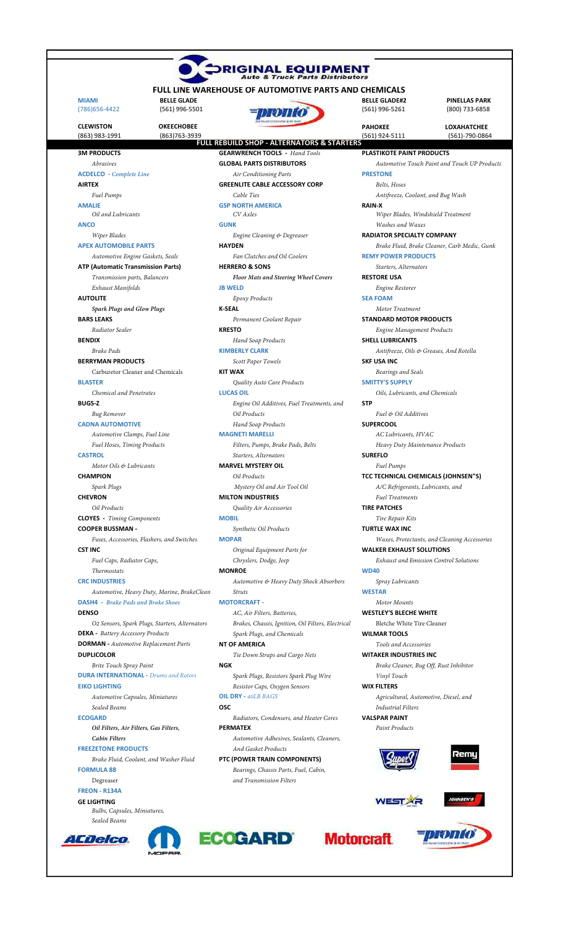| <b>FULL LINE WAREHOUSE OF AUTOMOTIVE PARTS AND CHEMICALS</b>           |                                                                                   |                                                        |                                        |
|------------------------------------------------------------------------|-----------------------------------------------------------------------------------|--------------------------------------------------------|----------------------------------------|
| <b>MIAMI</b><br><b>BELLE GLADE</b><br>(561) 996-5501<br>(786) 656-4422 |                                                                                   | <b>BELLE GLADE#2</b><br>(561) 996-5261                 | <b>PINELLAS PARK</b><br>(800) 733-6858 |
| <b>CLEWISTON</b><br><b>OKEECHOBEE</b>                                  |                                                                                   | <b>PAHOKEE</b>                                         | <b>LOXAHATCHEE</b>                     |
| (863) 763-3939<br>(863) 983-1991                                       | <b>FULL REBUILD SHOP - ALTERNATORS &amp; STARTERS</b>                             | (561) 924-5111                                         | (561)-790-0864                         |
| <b>3M PRODUCTS</b>                                                     | <b>GEARWRENCH TOOLS</b> - Hand Tools                                              | PLASTIKOTE PAINT PRODUCTS                              |                                        |
| Abrasives                                                              | <b>GLOBAL PARTS DISTRIBUTORS</b>                                                  | Automotive Touch Paint and Touch UP Products           |                                        |
| <b>ACDELCO</b> - Complete Line                                         | Air Conditioning Parts                                                            | <b>PRESTONE</b>                                        |                                        |
| <b>AIRTEX</b>                                                          | <b>GREENLITE CABLE ACCESSORY CORP</b>                                             | Belts, Hoses                                           |                                        |
| Fuel Pumps                                                             | Cable Ties                                                                        | Antifreeze, Coolant, and Bug Wash                      |                                        |
| <b>AMALIE</b>                                                          | <b>GSP NORTH AMERICA</b>                                                          | <b>RAIN-X</b>                                          |                                        |
| Oil and Lubricants                                                     | CV Axles                                                                          | Wiper Blades, Windshield Treatment<br>Washes and Waxes |                                        |
| <b>ANCO</b><br>Wiper Blades                                            | <b>GUNK</b><br>Engine Cleaning & Degreaser                                        | <b>RADIATOR SPECIALTY COMPANY</b>                      |                                        |
| <b>APEX AUTOMOBILE PARTS</b>                                           | <b>HAYDEN</b>                                                                     | Brake Fluid, Brake Cleaner, Carb Medic, Gunk           |                                        |
| Automotive Engine Gaskets, Seals                                       | Fan Clutches and Oil Coolers                                                      | <b>REMY POWER PRODUCTS</b>                             |                                        |
| <b>ATP (Automatic Transmission Parts)</b>                              | <b>HERRERO &amp; SONS</b>                                                         | Starters, Alternators                                  |                                        |
| Transmission parts, Balancers                                          | Floor Mats and Steering Wheel Covers                                              | <b>RESTORE USA</b>                                     |                                        |
| Exhaust Manifolds                                                      | <b>JB WELD</b>                                                                    | Engine Restorer                                        |                                        |
| <b>AUTOLITE</b>                                                        | Epoxy Products                                                                    | <b>SEA FOAM</b>                                        |                                        |
| <b>Spark Plugs and Glow Plugs</b>                                      | <b>K-SEAL</b>                                                                     | Motor Treatment                                        |                                        |
| <b>BARS LEAKS</b>                                                      | Permanent Coolant Repair                                                          | <b>STANDARD MOTOR PRODUCTS</b>                         |                                        |
| Radiator Sealer                                                        | <b>KRESTO</b>                                                                     | <b>Engine Management Products</b>                      |                                        |
| <b>BENDIX</b>                                                          | Hand Soap Products                                                                | <b>SHELL LUBRICANTS</b>                                |                                        |
| Brake Pads                                                             | <b>KIMBERLY CLARK</b>                                                             | Antifreeze, Oils & Greases, And Rotella                |                                        |
| <b>BERRYMAN PRODUCTS</b>                                               | Scott Paper Towels                                                                | <b>SKF USA INC</b>                                     |                                        |
| Carburetor Cleaner and Chemicals                                       | <b>KIT WAX</b>                                                                    | Bearings and Seals                                     |                                        |
| <b>BLASTER</b>                                                         | Quality Auto Care Products                                                        | <b>SMITTY'S SUPPLY</b>                                 |                                        |
| Chemical and Penetrates                                                | <b>LUCAS OIL</b>                                                                  | Oils, Lubricants, and Chemicals                        |                                        |
| <b>BUGS-Z</b>                                                          | Engine Oil Additives, Fuel Treatments, and<br>Oil Products                        | <b>STP</b>                                             |                                        |
| Bug Remover                                                            |                                                                                   | Fuel & Oil Additives<br><b>SUPERCOOL</b>               |                                        |
| <b>CADNA AUTOMOTIVE</b><br>Automotive Clamps, Fuel Line                | Hand Soap Products<br><b>MAGNETI MARELLI</b>                                      | AC Lubricants, HVAC                                    |                                        |
| Fuel Hoses, Timing Products                                            | Filters, Pumps, Brake Pads, Belts                                                 | Heavy Duty Maintenance Products                        |                                        |
| <b>CASTROL</b>                                                         | Starters, Alternators                                                             | <b>SUREFLO</b>                                         |                                        |
| Motor Oils & Lubricants                                                | <b>MARVEL MYSTERY OIL</b>                                                         | Fuel Pumps                                             |                                        |
| <b>CHAMPION</b>                                                        | Oil Products                                                                      | TCC TECHNICAL CHEMICALS (JOHNSEN"S)                    |                                        |
| Spark Plugs                                                            | Mystery Oil and Air Tool Oil                                                      | A/C Refrigerants, Lubricants, and                      |                                        |
| <b>CHEVRON</b>                                                         | <b>MILTON INDUSTRIES</b>                                                          | <b>Fuel Treatments</b>                                 |                                        |
| Oil Products                                                           | Quality Air Accessories                                                           | <b>TIRE PATCHES</b>                                    |                                        |
| <b>CLOYES</b> - Timing Components                                      | <b>MOBIL</b>                                                                      | Tire Repair Kits                                       |                                        |
| <b>COOPER BUSSMAN -</b>                                                | Synthetic Oil Products                                                            | <b>TURTLE WAX INC</b>                                  |                                        |
| Fuses, Accessories, Flashers, and Switches                             | <b>MOPAR</b>                                                                      | Waxes, Protectants, and Cleaning Accessories           |                                        |
| <b>CST INC</b>                                                         | Original Equipment Parts for                                                      | <b>WALKER EXHAUST SOLUTIONS</b>                        |                                        |
| Fuel Caps, Radiator Caps,                                              | Chryslers, Dodge, Jeep                                                            | <b>Exhaust and Emission Control Solutions</b>          |                                        |
| Thermostats                                                            | <b>MONROE</b>                                                                     | <b>WD40</b>                                            |                                        |
| <b>CRC INDUSTRIES</b>                                                  | Automotive & Heavy Duty Shock Absorbers                                           | Spray Lubricants                                       |                                        |
| Automotive, Heavy Duty, Marine, BrakeClean                             | <i>Struts</i>                                                                     | <b>WESTAR</b>                                          |                                        |
| <b>DASH4</b> - Brake Pads and Brake Shoes<br><b>DENSO</b>              | <b>MOTORCRAFT -</b>                                                               | Motor Mounts<br><b>WESTLEY'S BLECHE WHITE</b>          |                                        |
| O2 Sensors, Spark Plugs, Starters, Alternators                         | AC, Air Filters, Batteries,<br>Brakes, Chassis, Ignition, Oil Filters, Electrical | Bletche White Tire Cleaner                             |                                        |
| <b>DEKA</b> - Battery Accessory Products                               | Spark Plugs, and Chemicals                                                        | <b>WILMAR TOOLS</b>                                    |                                        |
| <b>DORMAN</b> - Automotive Replacement Parts                           | <b>NT OF AMERICA</b>                                                              | Tools and Accessories                                  |                                        |
| <b>DUPLICOLOR</b>                                                      | Tie Down Straps and Cargo Nets                                                    | <b>WITAKER INDUSTRIES INC</b>                          |                                        |
| Brite Touch Spray Paint                                                | <b>NGK</b>                                                                        | Brake Cleaner, Bug Off, Rust Inhibitor                 |                                        |
| <b>DURA INTERNATIONAL - Drums and Rotors</b>                           | Spark Plugs, Resistors Spark Plug Wire                                            | Vinyl Touch                                            |                                        |
| <b>EIKO LIGHTING</b>                                                   | Resistor Caps, Oxygen Sensors                                                     | <b>WIX FILTERS</b>                                     |                                        |
| Automotive Capsules, Miniatures                                        | <b>OIL DRY - 40LB BAGS</b>                                                        | Agricultural, Automotive, Diesel, and                  |                                        |
| Sealed Beams                                                           | <b>OSC</b>                                                                        | <b>Industrial Filters</b>                              |                                        |
| <b>ECOGARD</b>                                                         | Radiators, Condensers, and Heater Cores                                           | <b>VALSPAR PAINT</b>                                   |                                        |
| Oil Filters, Air Filters, Gas Filters,                                 | <b>PERMATEX</b>                                                                   | Paint Products                                         |                                        |
| Cabin Filters                                                          | Automotive Adhesives, Sealants, Cleaners,                                         |                                                        |                                        |
| <b>FREEZETONE PRODUCTS</b>                                             | And Gasket Products                                                               |                                                        | zemu                                   |
| Brake Fluid, Coolant, and Washer Fluid                                 | PTC (POWER TRAIN COMPONENTS)                                                      |                                                        |                                        |
| <b>FORMULA 88</b>                                                      | Bearings, Chassis Parts, Fuel, Cabin,                                             |                                                        |                                        |
| Degreaser                                                              | and Transmission Filters                                                          |                                                        |                                        |
| <b>FREON - R134A</b><br><b>GE LIGHTING</b>                             |                                                                                   |                                                        | <b>IOHNSEN'S</b>                       |
| Bulbs, Capsules, Miniatures,                                           |                                                                                   |                                                        |                                        |
| Sealed Beams                                                           |                                                                                   |                                                        |                                        |